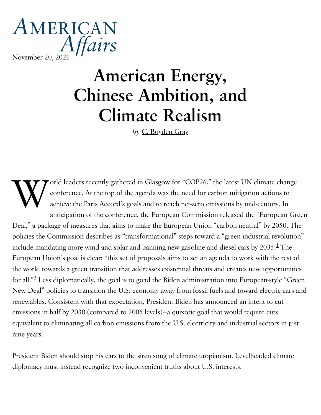## AMERICAN Affairs [November](https://americanaffairsjournal.org/) 20, 2021

# American Energy, Chinese Ambition, and Climate Realism

*by* C. [Boyden](https://americanaffairsjournal.org/author/c-boyden-gray/) Gray

 $\underset{\text{anti}}{\mathbf{W}}\underset{\text{anti}}{\overset{\text{orlic}}{\sum}}$ orld leaders recently gathered in Glasgow for "COP26," the latest UN climate change conference. At the top of the agenda was the need for carbon mitigation actions to achieve the Paris Accord's goals and to reach net-zero emissions by mid-century. In anticipation of the conference, the European Commission released the "European Green Deal," a package of measures that aims to make the European Union "carbon-neutral" by 2050. The policies the Commission describes as "transformational" steps toward a "green industrial revolution" include mandating more wind and solar and banning new gasoline and diesel cars by 2035. $^1$  $^1$  The European Union's goal is clear: "this set of proposals aims to set an agenda to work with the rest of the world towards a green transition that addresses existential threats and creates new opportunities for all." $^2$  $^2$  Less diplomatically, the goal is to goad the Biden administration into European-style "Green New Deal" policies to transition the U.S. economy away from fossil fuels and toward electric cars and renewables. Consistent with that expectation, President Biden has announced an intent to cut emissions in half by 2030 (compared to 2005 levels)—a quixotic goal that would require cuts equivalent to eliminating all carbon emissions from the U.S. electricity and industrial sectors in just nine years.

President Biden should stop his ears to the siren song of climate utopianism. Levelheaded climate diplomacy must instead recognize two inconvenient truths about U.S. interests.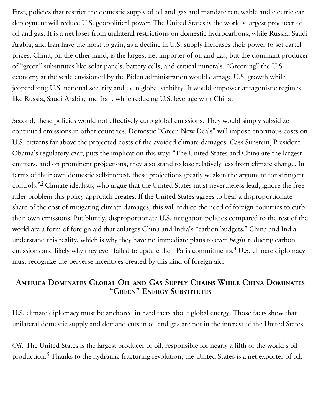First, policies that restrict the domestic supply of oil and gas and mandate renewable and electric car deployment will reduce U.S. geopolitical power. The United States is the world's largest producer of oil and gas. It is a net loser from unilateral restrictions on domestic hydrocarbons, while Russia, Saudi Arabia, and Iran have the most to gain, as a decline in U.S. supply increases their power to set cartel prices. China, on the other hand, is the largest net importer of oil and gas, but the dominant producer of "green" substitutes like solar panels, battery cells, and critical minerals. "Greening" the U.S. economy at the scale envisioned by the Biden administration would damage U.S. growth while jeopardizing U.S. national security and even global stability. It would empower antagonistic regimes like Russia, Saudi Arabia, and Iran, while reducing U.S. leverage with China.

Second, these policies would not effectively curb global emissions. They would simply subsidize continued emissions in other countries. Domestic "Green New Deals" will impose enormous costs on U.S. citizens far above the projected costs of the avoided climate damages. Cass Sunstein, President Obama's regulatory czar, puts the implication this way: "The United States and China are the largest emitters, and on prominent projections, they also stand to lose relatively less from climate change. In terms of their own domestic self-interest, these projections greatly weaken the argument for stringent controls." $^3$  $^3$  Climate idealists, who argue that the United States must nevertheless lead, ignore the free rider problem this policy approach creates. If the United States agrees to bear a disproportionate share of the cost of mitigating climate damages, this will reduce the need of foreign countries to curb their own emissions. Put bluntly, disproportionate U.S. mitigation policies compared to the rest of the world are a form of foreign aid that enlarges China and India's "carbon budgets." China and India understand this reality, which is why they have no immediate plans to even *begin* reducing carbon emissions and likely why they even failed to update their Paris commitments. $^4$  $^4$  U.S. climate diplomacy must recognize the perverse incentives created by this kind of foreign aid.

#### America Dominates Global Oil and Gas Supply Chains While China Dominates "Green" Energy Substitutes

U.S. climate diplomacy must be anchored in hard facts about global energy. Those facts show that unilateral domestic supply and demand cuts in oil and gas are not in the interest of the United States.

*Oil.* The United States is the largest producer of oil, responsible for nearly a fifth of the world's oil production.<sup>[5](#page-10-0)</sup> Thanks to the hydraulic fracturing revolution, the United States is a net exporter of oil.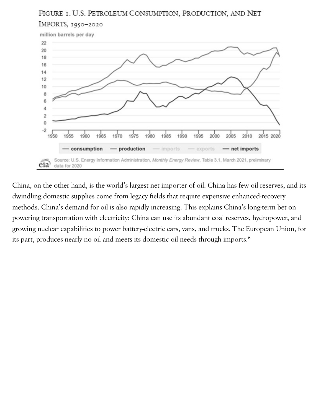## FIGURE 1. U.S. PETROLEUM CONSUMPTION, PRODUCTION, AND NET IMPORTS, 1950-2020



China, on the other hand, is the world's largest net importer of oil. China has few oil reserves, and its dwindling domestic supplies come from legacy fields that require expensive enhanced-recovery methods. China's demand for oil is also rapidly increasing. This explains China's long-term bet on powering transportation with electricity: China can use its abundant coal reserves, hydropower, and growing nuclear capabilities to power battery-electric cars, vans, and trucks. The European Union, for its part, produces nearly no oil and meets its domestic oil needs through imports. [6](#page-10-0)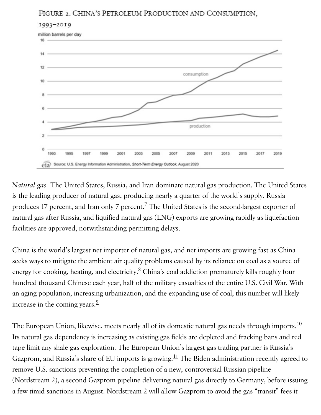#### FIGURE 2. CHINA'S PETROLEUM PRODUCTION AND CONSUMPTION,



*Natural gas.* The United States, Russia, and Iran dominate natural gas production. The United States is the leading producer of natural gas, producing nearly a quarter of the world's supply. Russia produces 1[7](#page-10-0) percent, and Iran only 7 percent. $^{\mathsf{Z}}$  The United States is the second-largest exporter of natural gas after Russia, and liquified natural gas (LNG) exports are growing rapidly as liquefaction facilities are approved, notwithstanding permitting delays.

China is the world's largest net importer of natural gas, and net imports are growing fast as China seeks ways to mitigate the ambient air quality problems caused by its reliance on coal as a source of energy for cooking, heating, and electricity.<sup>[8](#page-10-0)</sup> China's coal addiction prematurely kills roughly four hundred thousand Chinese each year, half of the military casualties of the entire U.S. Civil War. With an aging population, increasing urbanization, and the expanding use of coal, this number will likely increase in the coming years. [9](#page-10-0)

The European Union, likewise, meets nearly all of its domestic natural gas needs through imports. $^{\underline{10}}$  $^{\underline{10}}$  $^{\underline{10}}$ Its natural gas dependency is increasing as existing gas fields are depleted and fracking bans and red tape limit any shale gas exploration. The European Union's largest gas trading partner is Russia's Gazprom, and Russia's share of EU imports is growing. $^{11}$  $^{11}$  $^{11}$  The Biden administration recently agreed to remove U.S. sanctions preventing the completion of a new, controversial Russian pipeline (Nordstream 2), a second Gazprom pipeline delivering natural gas directly to Germany, before issuing a few timid sanctions in August. Nordstream 2 will allow Gazprom to avoid the gas "transit" fees it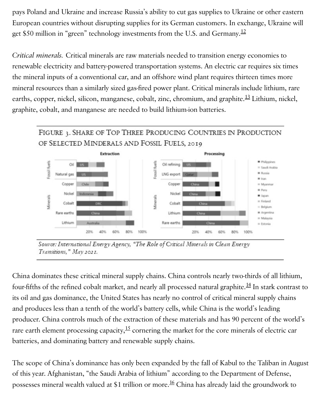pays Poland and Ukraine and increase Russia's ability to cut gas supplies to Ukraine or other eastern European countries without disrupting supplies for its German customers. In exchange, Ukraine will get \$50 million in "green" technology investments from the U.S. and Germany. $^{12}$  $^{12}$  $^{12}$ 

*Critical minerals.* Critical minerals are raw materials needed to transition energy economies to renewable electricity and battery-powered transportation systems. An electric car requires six times the mineral inputs of a conventional car, and an offshore wind plant requires thirteen times more mineral resources than a similarly sized gas-fired power plant. Critical minerals include lithium, rare earths, copper, nickel, silicon, manganese, cobalt, zinc, chromium, and graphite.<sup>[13](#page-10-0)</sup> Lithium, nickel, graphite, cobalt, and manganese are needed to build lithium-ion batteries.

#### FIGURE 3. SHARE OF TOP THREE PRODUCING COUNTRIES IN PRODUCTION OF SELECTED MINDERALS AND FOSSIL FUELS, 2019



Source: International Energy Agency, "The Role of Critical Minerals in Clean Energy Transitions," May 2021.

China dominates these critical mineral supply chains. China controls nearly two-thirds of all lithium, four-fifths of the refined cobalt market, and nearly all processed natural graphite. $^{\underline{14}}$  $^{\underline{14}}$  $^{\underline{14}}$  In stark contrast to its oil and gas dominance, the United States has nearly no control of critical mineral supply chains and produces less than a tenth of the world's battery cells, while China is the world's leading producer. China controls much of the extraction of these materials and has 90 percent of the world's rare earth element processing capacity, $^{15}$  $^{15}$  $^{15}$  cornering the market for the core minerals of electric car batteries, and dominating battery and renewable supply chains.

The scope of China's dominance has only been expanded by the fall of Kabul to the Taliban in August of this year. Afghanistan, "the Saudi Arabia of lithium" according to the Department of Defense, possesses mineral wealth valued at \$1 trillion or more.<sup>[16](#page-10-0)</sup> China has already laid the groundwork to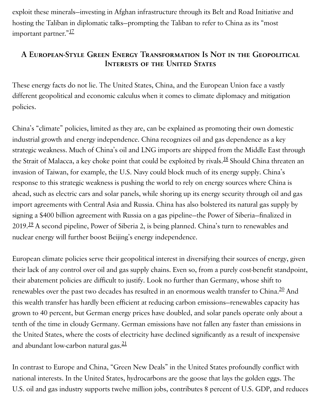exploit these minerals—investing in Afghan infrastructure through its Belt and Road Initiative and hosting the Taliban in diplomatic talks—prompting the Taliban to refer to China as its "most important partner."<sup>[17](#page-10-0)</sup>

### A European-Style Green Energy Transformation Is Not in the Geopolitical Interests of the United States

These energy facts do not lie. The United States, China, and the European Union face a vastly different geopolitical and economic calculus when it comes to climate diplomacy and mitigation policies.

China's "climate" policies, limited as they are, can be explained as promoting their own domestic industrial growth and energy independence. China recognizes oil and gas dependence as a key strategic weakness. Much of China's oil and LNG imports are shipped from the Middle East through the Strait of Malacca, a key choke point that could be exploited by rivals.<sup>[18](#page-10-0)</sup> Should China threaten an invasion of Taiwan, for example, the U.S. Navy could block much of its energy supply. China's response to this strategic weakness is pushing the world to rely on energy sources where China is ahead, such as electric cars and solar panels, while shoring up its energy security through oil and gas import agreements with Central Asia and Russia. China has also bolstered its natural gas supply by signing a \$400 billion agreement with Russia on a gas pipeline—the Power of Siberia—finalized in 20[19](#page-10-0).<sup>19</sup> A second pipeline, Power of Siberia 2, is being planned. China's turn to renewables and nuclear energy will further boost Beijing's energy independence.

European climate policies serve their geopolitical interest in diversifying their sources of energy, given their lack of any control over oil and gas supply chains. Even so, from a purely cost-benefit standpoint, their abatement policies are difficult to justify. Look no further than Germany, whose shift to renewables over the past two decades has resulted in an enormous wealth transfer to China. $^{20}$  $^{20}$  $^{20}$  And this wealth transfer has hardly been efficient at reducing carbon emissions—renewables capacity has grown to 40 percent, but German energy prices have doubled, and solar panels operate only about a tenth of the time in cloudy Germany. German emissions have not fallen any faster than emissions in the United States, where the costs of electricity have declined significantly as a result of inexpensive and abundant low-carbon natural gas.<sup>[21](#page-10-0)</sup>

In contrast to Europe and China, "Green New Deals" in the United States profoundly conflict with national interests. In the United States, hydrocarbons are the goose that lays the golden eggs. The U.S. oil and gas industry supports twelve million jobs, contributes 8 percent of U.S. GDP, and reduces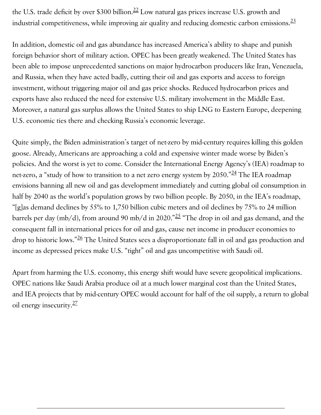the U.S. trade deficit by over \$300 billion. $^{22}$  $^{22}$  $^{22}$  Low natural gas prices increase U.S. growth and industrial competitiveness, while improving air quality and reducing domestic carbon emissions. $^{\underline{23}}$  $^{\underline{23}}$  $^{\underline{23}}$ 

In addition, domestic oil and gas abundance has increased America's ability to shape and punish foreign behavior short of military action. OPEC has been greatly weakened. The United States has been able to impose unprecedented sanctions on major hydrocarbon producers like Iran, Venezuela, and Russia, when they have acted badly, cutting their oil and gas exports and access to foreign investment, without triggering major oil and gas price shocks. Reduced hydrocarbon prices and exports have also reduced the need for extensive U.S. military involvement in the Middle East. Moreover, a natural gas surplus allows the United States to ship LNG to Eastern Europe, deepening U.S. economic ties there and checking Russia's economic leverage.

Quite simply, the Biden administration's target of net-zero by mid-century requires killing this golden goose. Already, Americans are approaching a cold and expensive winter made worse by Biden's policies. And the worst is yet to come. Consider the International Energy Agency's (IEA) roadmap to net-zero, a "study of how to transition to a net zero energy system by 2050." $^{\underline{24}}$  $^{\underline{24}}$  $^{\underline{24}}$  The IEA roadmap envisions banning all new oil and gas development immediately and cutting global oil consumption in half by 2040 as the world's population grows by two billion people. By 2050, in the IEA's roadmap, "[g]as demand declines by 55% to 1,750 billion cubic meters and oil declines by 75% to 24 million barrels per day (mb/d), from around 90 mb/d in 2020." $^{25}$  $^{25}$  $^{25}$  "The drop in oil and gas demand, and the consequent fall in international prices for oil and gas, cause net income in producer economies to drop to historic lows."<sup>[26](#page-10-0)</sup> The United States sees a disproportionate fall in oil and gas production and income as depressed prices make U.S. "tight" oil and gas uncompetitive with Saudi oil.

Apart from harming the U.S. economy, this energy shift would have severe geopolitical implications. OPEC nations like Saudi Arabia produce oil at a much lower marginal cost than the United States, and IEA projects that by mid-century OPEC would account for half of the oil supply, a return to global oil energy insecurity.<sup>[27](#page-10-0)</sup>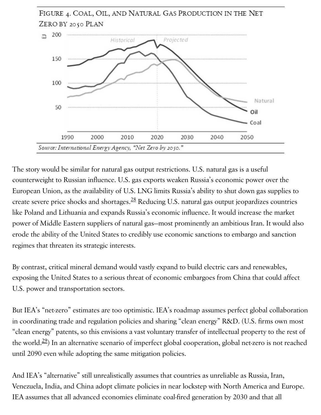

The story would be similar for natural gas output restrictions. U.S. natural gas is a useful counterweight to Russian influence. U.S. gas exports weaken Russia's economic power over the European Union, as the availability of U.S. LNG limits Russia's ability to shut down gas supplies to create severe price shocks and shortages. $^{28}$  $^{28}$  $^{28}$  Reducing U.S. natural gas output jeopardizes countries like Poland and Lithuania and expands Russia's economic influence. It would increase the market power of Middle Eastern suppliers of natural gas—most prominently an ambitious Iran. It would also erode the ability of the United States to credibly use economic sanctions to embargo and sanction regimes that threaten its strategic interests.

By contrast, critical mineral demand would vastly expand to build electric cars and renewables, exposing the United States to a serious threat of economic embargoes from China that could affect U.S. power and transportation sectors.

But IEA's "net-zero" estimates are too optimistic. IEA's roadmap assumes perfect global collaboration in coordinating trade and regulation policies and sharing "clean energy" R&D. (U.S. firms own most "clean energy" patents, so this envisions a vast voluntary transfer of intellectual property to the rest of the world. $^{29}$  $^{29}$  $^{29}$ ) In an alternative scenario of imperfect global cooperation, global net-zero is not reached until 2090 even while adopting the same mitigation policies.

And IEA's "alternative" still unrealistically assumes that countries as unreliable as Russia, Iran, Venezuela, India, and China adopt climate policies in near lockstep with North America and Europe. IEA assumes that all advanced economies eliminate coal-fired generation by 2030 and that all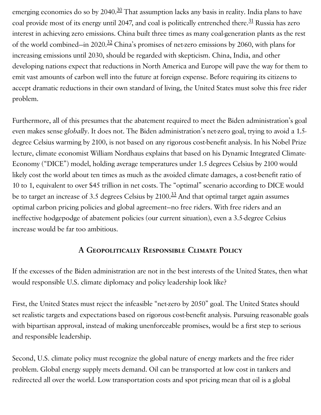emerging economies do so by 2040.<sup>[30](#page-10-0)</sup> That assumption lacks any basis in reality. India plans to have coal provide most of its energy until 2047, and coal is politically entrenched there. $\frac{31}{21}$  $\frac{31}{21}$  $\frac{31}{21}$  Russia has zero interest in achieving zero emissions. China built three times as many coal-generation plants as the rest of the world combined—in  $2020.\frac{32}{2}$  $2020.\frac{32}{2}$  $2020.\frac{32}{2}$  China's promises of net-zero emissions by 2060, with plans for increasing emissions until 2030, should be regarded with skepticism. China, India, and other developing nations expect that reductions in North America and Europe will pave the way for them to emit vast amounts of carbon well into the future at foreign expense. Before requiring its citizens to accept dramatic reductions in their own standard of living, the United States must solve this free rider problem.

Furthermore, all of this presumes that the abatement required to meet the Biden administration's goal even makes sense *globally*. It does not. The Biden administration's net-zero goal, trying to avoid a 1.5 degree Celsius warming by 2100, is not based on any rigorous cost-benefit analysis. In his Nobel Prize lecture, climate economist William Nordhaus explains that based on his Dynamic Integrated Climate-Economy ("DICE") model, holding average temperatures under 1.5 degrees Celsius by 2100 would likely cost the world about ten times as much as the avoided climate damages, a cost-benefit ratio of 10 to 1, equivalent to over \$45 trillion in net costs. The "optimal" scenario according to DICE would be to target an increase of 3.5 degrees Celsius by 2100. $^{33}$  $^{33}$  $^{33}$  And that optimal target again assumes optimal carbon pricing policies and global agreement—no free riders. With free riders and an ineffective hodgepodge of abatement policies (our current situation), even a 3.5-degree Celsius increase would be far too ambitious.

#### A Geopolitically Responsible Climate Policy

If the excesses of the Biden administration are not in the best interests of the United States, then what would responsible U.S. climate diplomacy and policy leadership look like?

First, the United States must reject the infeasible "net-zero by 2050" goal. The United States should set realistic targets and expectations based on rigorous cost-benefit analysis. Pursuing reasonable goals with bipartisan approval, instead of making unenforceable promises, would be a first step to serious and responsible leadership.

Second, U.S. climate policy must recognize the global nature of energy markets and the free rider problem. Global energy supply meets demand. Oil can be transported at low cost in tankers and redirected all over the world. Low transportation costs and spot pricing mean that oil is a global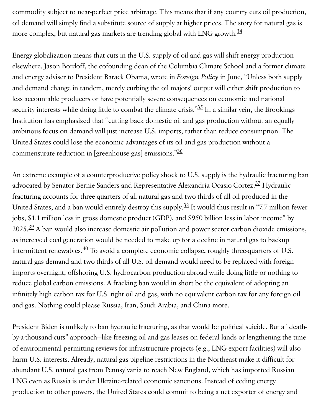commodity subject to near-perfect price arbitrage. This means that if any country cuts oil production, oil demand will simply find a substitute source of supply at higher prices. The story for natural gas is more complex, but natural gas markets are trending global with LNG growth. $\frac{34}{3}$  $\frac{34}{3}$  $\frac{34}{3}$ 

Energy globalization means that cuts in the U.S. supply of oil and gas will shift energy production elsewhere. Jason Bordoff, the cofounding dean of the Columbia Climate School and a former climate and energy adviser to President Barack Obama, wrote in *Foreign Policy* in June, "Unless both supply and demand change in tandem, merely curbing the oil majors' output will either shift production to less accountable producers or have potentially severe consequences on economic and national security interests while doing little to combat the climate crisis." $\frac{35}{25}$  $\frac{35}{25}$  $\frac{35}{25}$  In a similar vein, the Brookings Institution has emphasized that "cutting back domestic oil and gas production without an equally ambitious focus on demand will just increase U.S. imports, rather than reduce consumption. The United States could lose the economic advantages of its oil and gas production without a commensurate reduction in [greenhouse gas] emissions."<sup>[36](#page-10-0)</sup>

An extreme example of a counterproductive policy shock to U.S. supply is the hydraulic fracturing ban advocated by Senator Bernie Sanders and Representative Alexandria Ocasio-Cortez.<sup>[37](#page-10-0)</sup> Hydraulic fracturing accounts for three-quarters of all natural gas and two-thirds of all oil produced in the United States, and a ban would entirely destroy this supply.<sup>[38](#page-10-0)</sup> It would thus result in "7.7 million fewer jobs, \$1.1 trillion less in gross domestic product (GDP), and \$950 billion less in labor income" by 2025.<sup>[39](#page-10-0)</sup> A ban would also increase domestic air pollution and power sector carbon dioxide emissions, as increased coal generation would be needed to make up for a decline in natural gas to backup intermittent renewables. $^{40}$  $^{40}$  $^{40}$  To avoid a complete economic collapse, roughly three-quarters of U.S. natural gas demand and two-thirds of all U.S. oil demand would need to be replaced with foreign imports overnight, offshoring U.S. hydrocarbon production abroad while doing little or nothing to reduce global carbon emissions. A fracking ban would in short be the equivalent of adopting an infinitely high carbon tax for U.S. tight oil and gas, with no equivalent carbon tax for any foreign oil and gas. Nothing could please Russia, Iran, Saudi Arabia, and China more.

President Biden is unlikely to ban hydraulic fracturing, as that would be political suicide. But a "deathby-a-thousand-cuts" approach—like freezing oil and gas leases on federal lands or lengthening the time of environmental permitting reviews for infrastructure projects (e.g., LNG export facilities) will also harm U.S. interests. Already, natural gas pipeline restrictions in the Northeast make it difficult for abundant U.S. natural gas from Pennsylvania to reach New England, which has imported Russian LNG even as Russia is under Ukraine-related economic sanctions. Instead of ceding energy production to other powers, the United States could commit to being a net exporter of energy and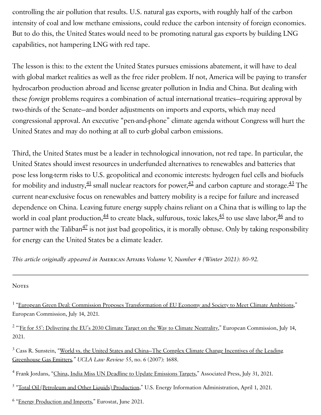controlling the air pollution that results. U.S. natural gas exports, with roughly half of the carbon intensity of coal and low methane emissions, could reduce the carbon intensity of foreign economies. But to do this, the United States would need to be promoting natural gas exports by building LNG capabilities, not hampering LNG with red tape.

The lesson is this: to the extent the United States pursues emissions abatement, it will have to deal with global market realities as well as the free rider problem. If not, America will be paying to transfer hydrocarbon production abroad and license greater pollution in India and China. But dealing with these *foreign* problems requires a combination of actual international treaties—requiring approval by two-thirds of the Senate—and border adjustments on imports and exports, which may need congressional approval. An executive "pen-and-phone" climate agenda without Congress will hurt the United States and may do nothing at all to curb global carbon emissions.

Third, the United States must be a leader in technological innovation, not red tape. In particular, the United States should invest resources in underfunded alternatives to renewables and batteries that pose less long-term risks to U.S. geopolitical and economic interests: hydrogen fuel cells and biofuels for mobility and industry, $^{41}$  $^{41}$  $^{41}$  small nuclear reactors for power, $^{42}$  $^{42}$  $^{42}$  and carbon capture and storage. $^{43}$  $^{43}$  $^{43}$  The current near-exclusive focus on renewables and battery mobility is a recipe for failure and increased dependence on China. Leaving future energy supply chains reliant on a China that is willing to lap the world in coal plant production, $\frac{44}{5}$  $\frac{44}{5}$  $\frac{44}{5}$  to create black, sulfurous, toxic lakes, $\frac{45}{5}$  $\frac{45}{5}$  $\frac{45}{5}$  to use slave labor, $\frac{46}{5}$  $\frac{46}{5}$  $\frac{46}{5}$  and to partner with the Taliban $^{47}$  $^{47}$  $^{47}$  is not just bad geopolitics, it is morally obtuse. Only by taking responsibility for energy can the United States be a climate leader.

*This article originally appeared in* American Affairs *Volume V, Number 4 (Winter 2021): 80–92.*

#### **NOTES**

<span id="page-10-0"></span><sup>1</sup> "European Green Deal: Commission Proposes [Transformation](https://ec.europa.eu/commission/presscorner/detail/en/IP_21_3541) of EU Economy and Society to Meet Climate Ambitions," European Commission, July 14, 2021.

<sup>2</sup> "'<u>Fit for 55': [Delivering](https://ec.europa.eu/info/sites/default/files/chapeau_communication.pdf) the EU's 2030 Climate Target on the Way to Climate Neutrality," European Commission, July 14,</u> 2021.

<sup>3</sup> Cass R. Sunstein, "<u>World vs. the United States and China–The Complex Climate Change Incentives of the Leading</u> [Greenhouse](https://chicagounbound.uchicago.edu/cgi/viewcontent.cgi?article=12533&context=journal_articles) Gas Emitters*," UCLA Law Review* 55, no. 6 (2007): 1688.

<sup>4</sup> Frank Jordans, "<u>China, India Miss UN Deadline to Update [Emissions](https://apnews.com/article/middle-east-china-environment-and-nature-india-united-nations-396d3d2ae7b2ff77fb99264d097bc594.) Targets</u>," Associated Press, July 31, 2021.

<sup>5</sup> "Total Oil [\(Petroleum and](https://www.eia.gov/international/data/world/petroleum-and-other-liquids/annual-petroleum-and-other-liquids-production.) Other Liquids) Production," U.S. Energy Information Administration, April 1, 2021.

<sup>6</sup> "Energy [Production](https://ec.europa.eu/eurostat/statistics-explained/index.php?title=Energy_production_and_imports#The_EU_and_its_Member_States_are_all_net_importers_of_energy.) and Imports," Eurostat, June 2021.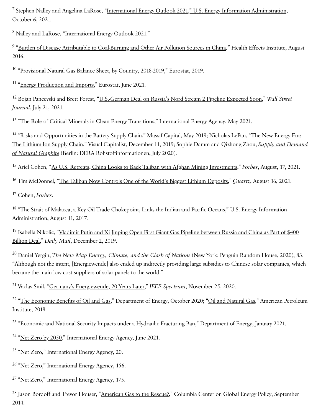$^7$  Stephen Nalley and Angelina LaRose, "<u>International Energy Outlook 2021," U.S. Energy Information [Administration,](https://www.eia.gov/outlooks/ieo/)</u> October 6, 2021.

<sup>8</sup> Nalley and LaRose, "International Energy Outlook 2021."

<sup>9</sup> "<u>Burden of Disease Attributable to [Coal-Burning](https://www.healtheffects.org/publication/burden-disease-attributable-coal-burning-and-other-air-pollution-sources-china) and Other Air Pollution Sources in China," Health Effects Institute, August</u> 2016.

<sup>10</sup> "<u>[Provisional](https://ec.europa.eu/eurostat/statistics-explained/images/f/fe/Provisional_natural_gas_balance_sheet%2C_by_country%2C_2018-2019_%28thousand_terajoules_%28Gross_Calorific_Value%29%29_Part_1.png) Natural Gas Balance Sheet, by Country, 2018-2019,</u>" Eurostat, 2019.

<sup>11</sup> "Energy [Production](https://ec.europa.eu/eurostat/statistics-explained/index.php?title=Energy_production_and_imports#The_EU_and_its_Member_States_are_all_net_importers_of_energy) and Imports," Eurostat, June 2021.

<sup>12</sup> Bojan Pancevski and Brett Forest, "<u>U.S.-German Deal on Russia's Nord Stream 2 Pipeline Expected Soon,</u>" *Wall Street Journal*, July 21, 2021.

<sup>13</sup> "The Role of Critical Minerals in Clean Energy [Transitions,](https://iea.blob.core.windows.net/assets/24d5dfbb-a77a-4647-abcc-667867207f74/TheRoleofCriticalMineralsinCleanEnergyTransitions.pdf.)" International Energy Agency, May 2021.

<sup>14</sup> "<u>Risks and [Opportunities](https://cdn2.hubspot.net/hubfs/4518141/Risks%20and%20Opportunities%20in%20the%20Battery%20Supply%20Chain.pdf) in the Battery Supply Chain</u>," Massif Capital, May 2019; Nicholas LePan, "<u>The New Energy Era:</u> The Lithium-Ion Supply Chain," Visual Capitalist, December 11, 2019; Sophie Damm and Qizhong Zhou, *Supply and Demand of Natural Graphite* (Berlin: DERA [Rohstoffinformationen,](https://www.deutsche-rohstoffagentur.de/DERA/DE/Downloads/Studie%20Graphite%20eng%202020.pdf?__blob=publicationFile&v=3) July 2020).

<sup>15</sup> Ariel Cohen, "<u>As U.S. Retreats, China Looks to Back Taliban with Afghan Mining Investments</u>," *Forbes*, August, 17, 2021.

<sup>16</sup> Tim McDonnel, "<u>The Taliban Now Controls One of the World's Biggest Lithium [Deposits,](https://qz.com/2047785/under-the-taliban-what-will-happen-to-afghanistans-minerals/amp/)</u>" *Quartz*, August 16, 2021.

Cohen, *Forbes*. 17

<sup>18</sup> "The Strait of Malacca, a Key Oil Trade [Chokepoint,](https://www.eia.gov/todayinenergy/detail.php?id=32452.) Links the Indian and Pacific Oceans," U.S. Energy Information Administration, August 11, 2017.

<sup>19</sup> Isabella Nikolic, "<u>Vladimir Putin and Xi Jinping Open First Giant Gas Pipeline between Russia and China as Part of \$400</u> Billion Deal," *Daily Mail*, [December](https://www.dailymail.co.uk/news/article-7746617/Vladimir-Putin-Xi-Jinping-open-giant-gas-link-two-countries.html) 2, 2019.

Daniel Yergin, *The New Map Energy, Climate, and the Clash of Nations* (New York: Penguin Random House, 2020), 83. 20 "Although not the intent, [Energiewende] also ended up indirectly providing large subsidies to Chinese solar companies, which became the main low-cost suppliers of solar panels to the world."

<sup>21</sup> Vaclav Smil, "<u>Germany's [Energiewende,](https://spectrum.ieee.org/energy/renewables/germanys-energiewende-20-years-later) 20 Years Later</u>," *IEEE Spectrum*, November 25, 2020.

<sup>22</sup> "<u>The [Economic](https://www.energy.gov/sites/prod/files/2020/10/f80/Economic%20Impact%20of%20Oil%20and%20Gas.pdf) Benefits of Oil and Gas</u>," Department of Energy, October 2020; "<u>Oil and [Natural](https://www.api.org/-/media/Files/Policy/Taxes/DM2018-086_API_Fair_Share_OnePager_FIN3.pdf.) Gas</u>," American Petroleum Institute, 2018.

<sup>23</sup> "<u>Economic and National Security Impacts under a Hydraulic [Fracturing](https://www.energy.gov/sites/prod/files/2021/01/f82/economic-and-national-security-impacts-under-a-hydraulic-fracturing-ban.pdf.) Ban</u>," Department of Energy, January 2021.

<sup>24</sup> "<u>Net Zero by 2050</u>," International Energy Agency, June 2021.

<sup>25</sup> "Net Zero," International Energy Agency, 20.

<sup>26</sup> "Net Zero," International Energy Agency, 156.

<sup>27</sup> "Net Zero," International Energy Agency, 175.

<sup>28</sup> Jason Bordoff and Trevor Houser, "<u>American Gas to the Rescue?,</u>" Columbia Center on Global Energy Policy, September 2014.